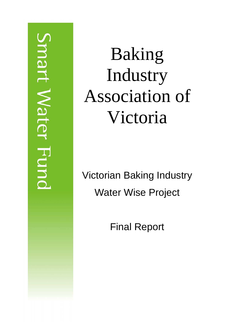# mart Water Func

# Baking Industry Association of Victoria

Victorian Baking Industry Water Wise Project

Final Report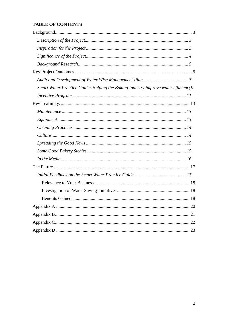## **TABLE OF CONTENTS**

| Smart Water Practice Guide: Helping the Baking Industry improve water efficiency9 |
|-----------------------------------------------------------------------------------|
|                                                                                   |
|                                                                                   |
|                                                                                   |
|                                                                                   |
|                                                                                   |
|                                                                                   |
|                                                                                   |
|                                                                                   |
|                                                                                   |
|                                                                                   |
|                                                                                   |
|                                                                                   |
|                                                                                   |
|                                                                                   |
|                                                                                   |
|                                                                                   |
| 22                                                                                |
|                                                                                   |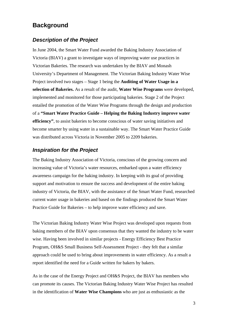# <span id="page-2-0"></span>**Background**

#### *Description of the Project*

In June 2004, the Smart Water Fund awarded the Baking Industry Association of Victoria (BIAV) a grant to investigate ways of improving water use practices in Victorian Bakeries. The research was undertaken by the BIAV and Monash University's Department of Management. The Victorian Baking Industry Water Wise Project involved two stages – Stage 1 being the **Auditing of Water Usage in a selection of Bakeries.** As a result of the audit, **Water Wise Programs** were developed, implemented and monitored for those participating bakeries. Stage 2 of the Project entailed the promotion of the Water Wise Programs through the design and production of a **"Smart Water Practice Guide – Helping the Baking Industry improve water efficiency"**, to assist bakeries to become conscious of water saving initiatives and become smarter by using water in a sustainable way. The Smart Water Practice Guide was distributed across Victoria in November 2005 to 2209 bakeries.

#### *Inspiration for the Project*

The Baking Industry Association of Victoria, conscious of the growing concern and increasing value of Victoria's water resources, embarked upon a water efficiency awareness campaign for the baking industry. In keeping with its goal of providing support and motivation to ensure the success and development of the entire baking industry of Victoria, the BIAV, with the assistance of the Smart Water Fund, researched current water usage in bakeries and based on the findings produced the Smart Water Practice Guide for Bakeries – to help improve water efficiency and save.

The Victorian Baking Industry Water Wise Project was developed upon requests from baking members of the BIAV upon consensus that they wanted the industry to be water wise. Having been involved in similar projects - Energy Efficiency Best Practice Program, OH&S Small Business Self-Assessment Project - they felt that a similar approach could be used to bring about improvements in water efficiency. As a result a report identified the need for a Guide written for bakers by bakers.

As in the case of the Energy Project and OH&S Project, the BIAV has members who can promote its causes. The Victorian Baking Industry Water Wise Project has resulted in the identification of **Water Wise Champions** who are just as enthusiastic as the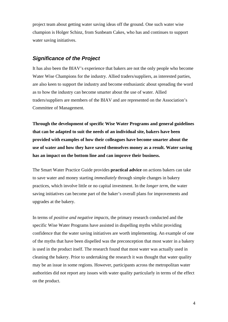<span id="page-3-0"></span>project team about getting water saving ideas off the ground. One such water wise champion is Holger Schinz, from Sunbeam Cakes, who has and continues to support water saving initiatives.

#### *Significance of the Project*

It has also been the BIAV's experience that bakers are not the only people who become Water Wise Champions for the industry. Allied traders/suppliers, as interested parties, are also keen to support the industry and become enthusiastic about spreading the word as to how the industry can become smarter about the use of water. Allied traders/suppliers are members of the BIAV and are represented on the Association's Committee of Management.

**Through the development of specific Wise Water Programs and general guidelines that can be adapted to suit the needs of an individual site, bakers have been provided with examples of how their colleagues have become smarter about the use of water and how they have saved themselves money as a result. Water saving has an impact on the bottom line and can improve their business.** 

The Smart Water Practice Guide provides **practical advice** on actions bakers can take to save water and money starting *immediately* through simple changes in bakery practices, which involve little or no capital investment. In the *longer term*, the water saving initiatives can become part of the baker's overall plans for improvements and upgrades at the bakery.

In terms of *positive and negative impacts*, the primary research conducted and the specific Wise Water Programs have assisted in dispelling myths whilst providing confidence that the water saving initiatives are worth implementing. An example of one of the myths that have been dispelled was the preconception that most water in a bakery is used in the product itself. The research found that most water was actually used in cleaning the bakery. Prior to undertaking the research it was thought that water quality may be an issue in some regions. However, participants across the metropolitan water authorities did not report any issues with water quality particularly in terms of the effect on the product.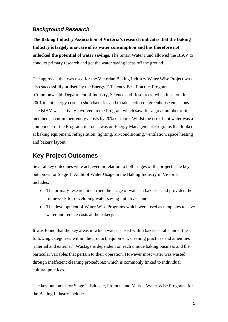# <span id="page-4-0"></span>*Background Research*

**The Baking Industry Association of Victoria's research indicates that the Baking Industry is largely unaware of its water consumption and has therefore not unlocked the potential of water savings.** The Smart Water Fund allowed the BIAV to conduct primary research and get the water saving ideas off the ground.

The approach that was used for the Victorian Baking Industry Water Wise Project was also successfully utilised by the Energy Efficiency Best Practice Program [Commonwealth Department of Industry, Science and Resources] when it set out in 2001 to cut energy costs in shop bakeries and to take action on greenhouse emissions. The BIAV was actively involved in the Program which saw, for a great number of its members, a cut in their energy costs by 20% or more. Whilst the use of hot water was a component of the Program, its focus was on Energy Management Programs that looked at baking equipment, refrigeration, lighting, air-conditioning, ventilation, space heating and bakery layout.

# **Key Project Outcomes**

Several key outcomes were achieved in relation to both stages of the project. The key outcomes for Stage 1: Audit of Water Usage in the Baking Industry in Victoria includes:

- The primary research identified the usage of water in bakeries and provided the framework for developing water saving initiatives; and
- The development of Water Wise Programs which were used as templates to save water and reduce costs at the bakery.

It was found that the key areas in which water is used within bakeries falls under the following categories: within the product, equipment, cleaning practices and amenities (internal and external). Wastage is dependent on each unique baking business and the particular variables that pertain to their operation. However most water was wasted through inefficient cleaning procedures; which is commonly linked to individual cultural practices.

The key outcomes for Stage 2: Educate, Promote and Market Water Wise Programs for the Baking Industry includes: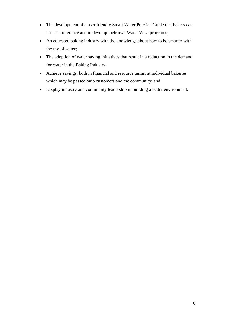- The development of a user friendly Smart Water Practice Guide that bakers can use as a reference and to develop their own Water Wise programs;
- An educated baking industry with the knowledge about how to be smarter with the use of water;
- The adoption of water saving initiatives that result in a reduction in the demand for water in the Baking Industry;
- Achieve savings, both in financial and resource terms, at individual bakeries which may be passed onto customers and the community; and
- Display industry and community leadership in building a better environment.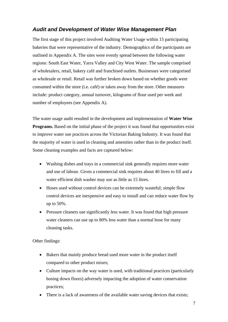#### <span id="page-6-0"></span>*Audit and Development of Water Wise Management Plan*

The first stage of this project involved Auditing Water Usage within 15 participating bakeries that were representative of the industry. Demographics of the participants are outlined in Appendix A. The sites were evenly spread between the following water regions: South East Water, Yarra Valley and City West Water. The sample comprised of wholesalers, retail, bakery café and franchised outlets. Businesses were categorised as wholesale or retail. Retail was further broken down based on whether goods were consumed within the store (i.e. café) or taken away from the store. Other measures include: product category, annual turnover, kilograms of flour used per week and number of employees (see Appendix A).

The water usage audit resulted in the development and implementation of **Water Wise Programs.** Based on the initial phase of the project it was found that opportunities exist to improve water use practices across the Victorian Baking Industry. It was found that the majority of water is used in cleaning and amenities rather than in the product itself. Some cleaning examples and facts are captured below:

- Washing dishes and trays in a commercial sink generally requires more water and use of labour. Given a commercial sink requires about 40 litres to fill and a water efficient dish washer may use as little as 15 litres.
- Hoses used without control devices can be extremely wasteful; simple flow control devices are inexpensive and easy to install and can reduce water flow by up to 50%.
- Pressure cleaners use significantly less water. It was found that high pressure water cleaners can use up to 80% less water than a normal hose for many cleaning tasks.

Other findings:

- Bakers that mainly produce bread used more water in the product itself compared to other product mixes;
- Culture impacts on the way water is used, with traditional practices (particularly hosing down floors) adversely impacting the adoption of water conservation practices;
- There is a lack of awareness of the available water saving devices that exists;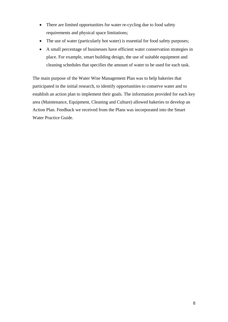- There are limited opportunities for water re-cycling due to food safety requirements and physical space limitations;
- The use of water (particularly hot water) is essential for food safety purposes;
- A small percentage of businesses have efficient water conservation strategies in place. For example, smart building design, the use of suitable equipment and cleaning schedules that specifies the amount of water to be used for each task.

The main purpose of the Water Wise Management Plan was to help bakeries that participated in the initial research, to identify opportunities to conserve water and to establish an action plan to implement their goals. The information provided for each key area (Maintenance, Equipment, Cleaning and Culture) allowed bakeries to develop an Action Plan. Feedback we received from the Plans was incorporated into the Smart Water Practice Guide.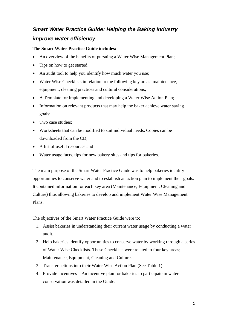# <span id="page-8-0"></span>*Smart Water Practice Guide: Helping the Baking Industry improve water efficiency*

#### **The Smart Water Practice Guide includes:**

- An overview of the benefits of pursuing a Water Wise Management Plan;
- Tips on how to get started:
- An audit tool to help you identify how much water you use;
- Water Wise Checklists in relation to the following key areas: maintenance, equipment, cleaning practices and cultural considerations;
- A Template for implementing and developing a Water Wise Action Plan;
- Information on relevant products that may help the baker achieve water saving goals;
- Two case studies:
- Worksheets that can be modified to suit individual needs. Copies can be downloaded from the CD;
- A list of useful resources and
- Water usage facts, tips for new bakery sites and tips for bakeries.

The main purpose of the Smart Water Practice Guide was to help bakeries identify opportunities to conserve water and to establish an action plan to implement their goals. It contained information for each key area (Maintenance, Equipment, Cleaning and Culture) thus allowing bakeries to develop and implement Water Wise Management Plans.

The objectives of the Smart Water Practice Guide were to:

- 1. Assist bakeries in understanding their current water usage by conducting a water audit.
- 2. Help bakeries identify opportunities to conserve water by working through a series of Water Wise Checklists. These Checklists were related to four key areas; Maintenance, Equipment, Cleaning and Culture.
- 3. Transfer actions into their Water Wise Action Plan (See Table 1).
- 4. Provide incentives An incentive plan for bakeries to participate in water conservation was detailed in the Guide.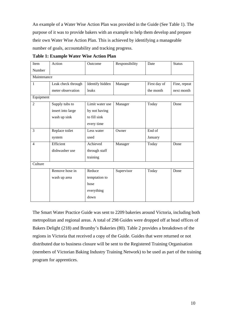An example of a Water Wise Action Plan was provided in the Guide (See Table 1). The purpose of it was to provide bakers with an example to help them develop and prepare their own Water Wise Action Plan. This is achieved by identifying a manageable number of goals, accountability and tracking progress.

| Item           | Action             | Outcome         | Responsibility | Date         | <b>Status</b> |  |  |  |
|----------------|--------------------|-----------------|----------------|--------------|---------------|--|--|--|
| Number         |                    |                 |                |              |               |  |  |  |
| Maintenance    |                    |                 |                |              |               |  |  |  |
| 1              | Leak check through | Identify hidden | Manager        | First day of | Fine, repeat  |  |  |  |
|                | meter observation  | leaks           |                | the month    | next month    |  |  |  |
| Equipment      |                    |                 |                |              |               |  |  |  |
| $\overline{2}$ | Supply tubs to     | Limit water use | Manager        | Today        | Done          |  |  |  |
|                | insert into large  | by not having   |                |              |               |  |  |  |
|                | wash up sink       | to fill sink    |                |              |               |  |  |  |
|                |                    | every time      |                |              |               |  |  |  |
| 3              | Replace toilet     | Less water      | Owner          | End of       |               |  |  |  |
|                | system             | used            |                | January      |               |  |  |  |
| $\overline{4}$ | Efficient          | Achieved        | Manager        | Today        | Done          |  |  |  |
|                | dishwasher use     | through staff   |                |              |               |  |  |  |
|                |                    | training        |                |              |               |  |  |  |
| Culture        |                    |                 |                |              |               |  |  |  |
|                | Remove hose in     | Reduce          | Supervisor     | Today        | Done          |  |  |  |
|                | wash up area       | temptation to   |                |              |               |  |  |  |
|                |                    | hose            |                |              |               |  |  |  |
|                |                    | everything      |                |              |               |  |  |  |
|                |                    | down            |                |              |               |  |  |  |

**Table 1: Example Water Wise Action Plan** 

The Smart Water Practice Guide was sent to 2209 bakeries around Victoria, including both metropolitan and regional areas. A total of 298 Guides were dropped off at head offices of Bakers Delight (218) and Brumby's Bakeries (80). Table 2 provides a breakdown of the regions in Victoria that received a copy of the Guide. Guides that were returned or not distributed due to business closure will be sent to the Registered Training Organisation (members of Victorian Baking Industry Training Network) to be used as part of the training program for apprentices.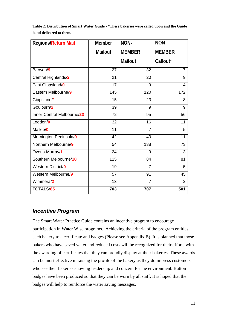<span id="page-10-0"></span>

| Table 2: Distribution of Smart Water Guide - *These bakeries were called upon and the Guide |  |
|---------------------------------------------------------------------------------------------|--|
| hand delivered to them.                                                                     |  |

| <b>Regions/Return Mail</b> | <b>Member</b>  | NON-           | NON-           |
|----------------------------|----------------|----------------|----------------|
|                            | <b>Mailout</b> | <b>MEMBER</b>  | <b>MEMBER</b>  |
|                            |                | <b>Mailout</b> | Callout*       |
| Barwon/9                   | 27             | 32             | $\overline{7}$ |
| Central Highlands/2        | 21             | 20             | 9              |
| East Gippsland/0           | 17             | 9              | 4              |
| Eastern Melbourne/9        | 145            | 120            | 172            |
| Gippsland/1                | 15             | 23             | 8              |
| Goulburn/2                 | 39             | 9              | 9              |
| Inner-Central Melbourne/23 | 72             | 95             | 56             |
| Loddon/0                   | 32             | 16             | 11             |
| Mallee/0                   | 11             | $\overline{7}$ | 5              |
| Mornington Peninsula/0     | 42             | 40             | 11             |
| Northern Melbourne/9       | 54             | 138            | 73             |
| Ovens-Murray/1             | 24             | 9              | 3              |
| Southern Melbourne/18      | 115            | 84             | 81             |
| Western District/0         | 19             | 7              | 5              |
| Western Melbourne/9        | 57             | 91             | 45             |
| Wimmera/2                  | 13             | $\overline{7}$ | $\overline{2}$ |
| TOTALS/85                  | 703            | 707            | 501            |

#### *Incentive Program*

The Smart Water Practice Guide contains an incentive program to encourage participation in Water Wise programs. Achieving the criteria of the program entitles each bakery to a certificate and badges (Please see Appendix B). It is planned that those bakers who have saved water and reduced costs will be recognized for their efforts with the awarding of certificates that they can proudly display at their bakeries. These awards can be most effective in raising the profile of the bakery as they do impress customers who see their baker as showing leadership and concern for the environment. Button badges have been produced so that they can be worn by all staff. It is hoped that the badges will help to reinforce the water saving messages.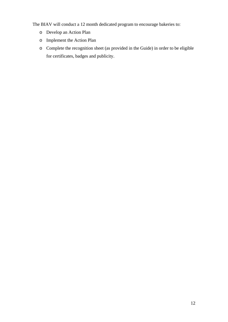The BIAV will conduct a 12 month dedicated program to encourage bakeries to:

- o Develop an Action Plan
- o Implement the Action Plan
- o Complete the recognition sheet (as provided in the Guide) in order to be eligible for certificates, badges and publicity.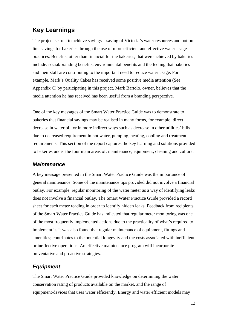# <span id="page-12-0"></span>**Key Learnings**

The project set out to achieve savings – saving of Victoria's water resources and bottom line savings for bakeries through the use of more efficient and effective water usage practices. Benefits, other than financial for the bakeries, that were achieved by bakeries include: social/branding benefits, environmental benefits and the feeling that bakeries and their staff are contributing to the important need to reduce water usage. For example, Mark's Quality Cakes has received some positive media attention (See Appendix C) by participating in this project. Mark Bartolo, owner, believes that the media attention he has received has been useful from a branding perspective.

One of the key messages of the Smart Water Practice Guide was to demonstrate to bakeries that financial savings may be realised in many forms, for example: direct decrease in water bill or in more indirect ways such as decrease in other utilities' bills due to decreased requirement in hot water, pumping, heating, cooling and treatment requirements. This section of the report captures the key learning and solutions provided to bakeries under the four main areas of: maintenance, equipment, cleaning and culture.

#### *Maintenance*

A key message presented in the Smart Water Practice Guide was the importance of general maintenance. Some of the maintenance tips provided did not involve a financial outlay. For example, regular monitoring of the water meter as a way of identifying leaks does not involve a financial outlay. The Smart Water Practice Guide provided a record sheet for each meter reading in order to identify hidden leaks. Feedback from recipients of the Smart Water Practice Guide has indicated that regular meter monitoring was one of the most frequently implemented actions due to the practicality of what's required to implement it. It was also found that regular maintenance of equipment, fittings and amenities; contributes to the potential longevity and the costs associated with inefficient or ineffective operations. An effective maintenance program will incorporate preventative and proactive strategies.

## *Equipment*

The Smart Water Practice Guide provided knowledge on determining the water conservation rating of products available on the market, and the range of equipment/devices that uses water efficiently. Energy and water efficient models may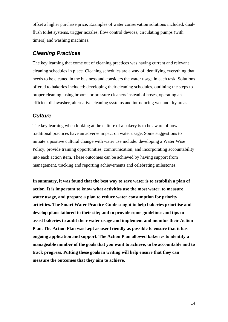<span id="page-13-0"></span>offset a higher purchase price. Examples of water conservation solutions included: dualflush toilet systems, trigger nozzles, flow control devices, circulating pumps (with timers) and washing machines.

#### *Cleaning Practices*

The key learning that come out of cleaning practices was having current and relevant cleaning schedules in place. Cleaning schedules are a way of identifying everything that needs to be cleaned in the business and considers the water usage in each task. Solutions offered to bakeries included: developing their cleaning schedules, outlining the steps to proper cleaning, using brooms or pressure cleaners instead of hoses, operating an efficient dishwasher, alternative cleaning systems and introducing wet and dry areas.

#### *Culture*

The key learning when looking at the culture of a bakery is to be aware of how traditional practices have an adverse impact on water usage. Some suggestions to initiate a positive cultural change with water use include: developing a Water Wise Policy, provide training opportunities, communication, and incorporating accountability into each action item. These outcomes can be achieved by having support from management, tracking and reporting achievements and celebrating milestones.

**In summary, it was found that the best way to save water is to establish a plan of action. It is important to know what activities use the most water, to measure water usage, and prepare a plan to reduce water consumption for priority activities. The Smart Water Practice Guide sought to help bakeries prioritise and develop plans tailored to their site; and to provide some guidelines and tips to assist bakeries to audit their water usage and implement and monitor their Action Plan. The Action Plan was kept as user friendly as possible to ensure that it has ongoing application and support. The Action Plan allowed bakeries to identify a manageable number of the goals that you want to achieve, to be accountable and to track progress. Putting these goals in writing will help ensure that they can measure the outcomes that they aim to achieve.**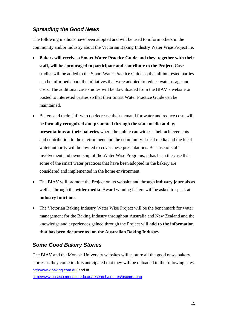## <span id="page-14-0"></span>*Spreading the Good News*

The following methods have been adopted and will be used to inform others in the community and/or industry about the Victorian Baking Industry Water Wise Project i.e.

- **Bakers will receive a Smart Water Practice Guide and they, together with their staff, will be encouraged to participate and contribute to the Project.** Case studies will be added to the Smart Water Practice Guide so that all interested parties can be informed about the initiatives that were adopted to reduce water usage and costs. The additional case studies will be downloaded from the BIAV's website or posted to interested parties so that their Smart Water Practice Guide can be maintained.
- Bakers and their staff who do decrease their demand for water and reduce costs will be **formally recognized and promoted through the state media and by presentations at their bakeries** where the public can witness their achievements and contribution to the environment and the community. Local media and the local water authority will be invited to cover these presentations. Because of staff involvement and ownership of the Water Wise Programs, it has been the case that some of the smart water practices that have been adopted in the bakery are considered and implemented in the home environment.
- The BIAV will promote the Project on its **website** and through **industry journals** as well as through the **wider media**. Award winning bakers will be asked to speak at **industry functions.**
- The Victorian Baking Industry Water Wise Project will be the benchmark for water management for the Baking Industry throughout Australia and New Zealand and the knowledge and experiences gained through the Project will **add to the information that has been documented on the Australian Baking Industry.**

## *Some Good Bakery Stories*

The BIAV and the Monash University websites will capture all the good news bakery stories as they come in. It is anticipated that they will be uploaded to the following sites. <http://www.baking.com.au/> and at

<http://www.buseco.monash.edu.au/research/centres/ascmru.php>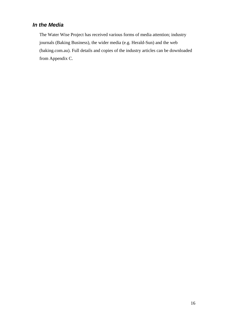# <span id="page-15-0"></span>*In the Media*

The Water Wise Project has received various forms of media attention; industry journals (Baking Business), the wider media (e.g. Herald-Sun) and the web (baking.com.au). Full details and copies of the industry articles can be downloaded from Appendix C.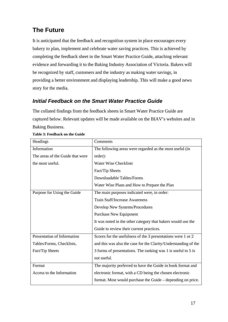# <span id="page-16-0"></span>**The Future**

It is anticipated that the feedback and recognition system in place encourages every bakery to plan, implement and celebrate water saving practices. This is achieved by completing the feedback sheet in the Smart Water Practice Guide, attaching relevant evidence and forwarding it to the Baking Industry Association of Victoria. Bakers will be recognized by staff, customers and the industry as making water savings, in providing a better environment and displaying leadership. This will make a good news story for the media.

# *Initial Feedback on the Smart Water Practice Guide*

The collated findings from the feedback sheets in Smart Water Practice Guide are captured below. Relevant updates will be made available on the BIAV's websites and in Baking Business.

| Headings                         | Comments                                                        |
|----------------------------------|-----------------------------------------------------------------|
| Information                      | The following areas were regarded as the most useful (in        |
| The areas of the Guide that were | order):                                                         |
| the most useful.                 | <b>Water Wise Checklists</b>                                    |
|                                  | Fact/Tip Sheets                                                 |
|                                  | Downloadable Tables/Forms                                       |
|                                  | Water Wise Plans and How to Prepare the Plan                    |
| Purpose for Using the Guide      | The main purposes indicated were, in order:                     |
|                                  | <b>Train Staff/Increase Awareness</b>                           |
|                                  | Develop New Systems/Procedures                                  |
|                                  | Purchase New Equipment                                          |
|                                  | It was noted in the other category that bakers would use the    |
|                                  | Guide to review their current practices.                        |
| Presentation of Information      | Scores for the usefulness of the 3 presentations were 1 or 2    |
| Tables/Forms, Checklists,        | and this was also the case for the Clarity/Understanding of the |
| Fact/Tip Sheets                  | 3 forms of presentations. The ranking was 1 is useful to 5 is   |
|                                  | not useful.                                                     |
| Format                           | The majority preferred to have the Guide in book format and     |
| Access to the Information        | electronic format, with a CD being the chosen electronic        |
|                                  | format. Most would purchase the Guide – depending on price.     |

#### **Table 3: Feedback on the Guide**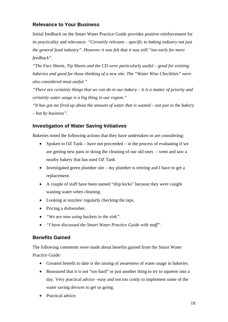### <span id="page-17-0"></span>**Relevance to Your Business**

Initial feedback on the Smart Water Practice Guide provides positive reinforcement for its practicality and relevance- *"Certainly relevant – specific to baking industry not just the general food industry". However it was felt that it was still "too early for more feedback".* 

*"The Fact Sheets, Tip Sheets and the CD were particularly useful – good for existing bakeries and good for those thinking of a new site. The "Water Wise Checklists" were also considered most useful."* 

*"There are certainly things that we can do in our bakery – it is a matter of priority and certainly water usage is a big thing in our region."* 

*"It has got me fired up about the amount of water that is wasted – not just in the bakery – but by business".*

#### **Investigation of Water Saving Initiatives**

Bakeries noted the following actions that they have undertaken or are considering:

- Spoken to OZ Tank have not proceeded in the process of evaluating if we are getting new pans or doing the cleaning of our old ones – went and saw a nearby bakery that has used OZ Tank
- Investigated green plumber site my plumber is retiring and I have to get a replacement.
- A couple of staff have been named "drip kicks" because they were caught wasting water when cleaning.
- Looking at nozzles/ regularly checking the taps.
- Pricing a dishwasher.
- *"We are now using buckets in the sink".*
- *"I have discussed the Smart Water Practice Guide with staff".*

#### **Benefits Gained**

The following comments were made about benefits gained from the Smart Water Practice Guide:

- Greatest benefit to date is the raising of awareness of water usage in bakeries.
- Reassured that it is not "too hard" or just another thing to try to squeeze into a day. Very practical advice –easy and not too costly to implement some of the water saving devices to get us going.
- Practical advice.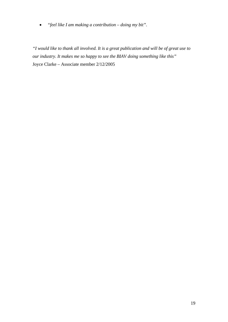• *"feel like I am making a contribution – doing my bit".* 

*"I would like to thank all involved. It is a great publication and will be of great use to our industry. It makes me so happy to see the BIAV doing something like this"*  Joyce Clarke – Associate member 2/12/2005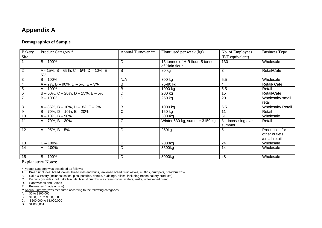# **Appendix A**

#### **Demographics of Sample**

| Bakery         | Product Category *                               | Annual Turnover ** | Flour used per week (kg)                          | No. of Employees      | <b>Business Type</b> |
|----------------|--------------------------------------------------|--------------------|---------------------------------------------------|-----------------------|----------------------|
| Site           |                                                  |                    |                                                   | (F/T equivalent)      |                      |
|                | $B - 100%$                                       | D                  | 15 tonnes of H R flour, 5 tonne<br>of Plain flour | 130                   | Wholesale            |
| $\overline{2}$ | A - 15%, B - 65%, C - 5%, D - 10%, E -<br>5%     | B                  | 80 kg                                             | 3                     | Retail/Café          |
| $\mathbf{3}$   | $B - 100%$                                       | N/A                | 300 kg                                            | 5.5                   | Wholesale            |
| 4              | $A - 2\%$ , B - 90%, D - 5%, E - 3%              | B                  | 75-80 kg                                          | 4                     | Retail/ Café         |
| 5              | $A - 100%$                                       | B                  | 1000 kg                                           | 5.5                   | Retail               |
| 6              | $B - 60\%$ , C $- 20\%$ , D $- 15\%$ , E $- 5\%$ | D                  | 200 kg                                            | 15                    | Retail/Café          |
|                | $B - 100%$                                       | D                  | 250 kg                                            | 20                    | Wholesale/ small     |
|                |                                                  |                    |                                                   |                       | retail               |
| 8              | $A - 85\%$ , B - 10%, D - 3%, E - 2%             | B                  | 1000 kg                                           | 6.5                   | Wholesale/ Retail    |
| 9              | $B - 70\%$ , $D - 10\%$ , $E - 20\%$             | С                  | 150 kg                                            | 11                    | Retail               |
| 10             | $A - 10\%$ , $B - 90\%$                          | D                  | 5000kg                                            | 51                    | Wholesale            |
| 11             | $A - 70\%$ , $B - 30\%$                          | C                  | Winter 630 kg, summer 3150 kg                     | $8$ – increasing over | Retail               |
|                |                                                  |                    |                                                   | summer                |                      |
| 12             | $A - 95\%$ , $B - 5\%$                           | D                  | 250kg                                             | 5                     | Production for       |
|                |                                                  |                    |                                                   |                       | other outlets        |
|                |                                                  |                    |                                                   |                       | /small retail        |
| 13             | $C - 100%$                                       | D                  | 2000kg                                            | 24                    | Wholesale            |
| 14             | A -- 100%                                        | D                  | 3500kg                                            | 14                    | Wholesale            |
|                |                                                  |                    |                                                   |                       |                      |
| 15             | $B - 100%$                                       | D                  | 3000kg                                            | 48                    | Wholesale            |

Explanatory Notes:

\* Product Category was described as follows:

A. Bread (includes: bread loaves, bread rolls and buns, leavened bread, fruit loaves, muffins, crumpets, breadcrumbs)

B. Cake & Pastry (includes: cakes, pies, pastries, donuts, puddings, slices, including frozen bakery products) C. Biscuits (includes: hot bake biscuits, biscuit crumbs, ice cream cones, wafers, rusks, unleavened bread)

D. Sandwiches and Salads

E. Beverages (made on site)

\*\* Annual Turnover was measured according to the following categories:

A. \$0 to \$100,000

B. \$100,001 to \$500,000

C. \$500,000 to \$1,000,000

<span id="page-19-0"></span>D.  $$1,000,001 +$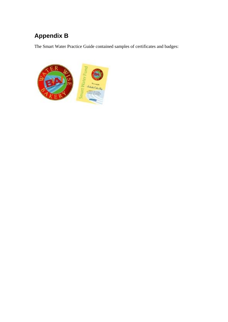# <span id="page-20-0"></span>**Appendix B**

The Smart Water Practice Guide contained samples of certificates and badges:

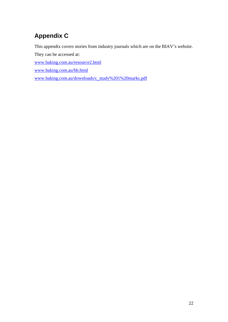# <span id="page-21-0"></span>**Appendix C**

This appendix covers stories from industry journals which are on the BIAV's website.

They can be accessed at:

[www.baking.com.au/resource2.html](http://www.baking.com.au/resource2.html)

[www.baking.com.au/bb.html](http://www.baking.com.au/bb.html)

[www.baking.com.au/downloads/c\\_study%201%20marks.pdf](http://www.baking.com.au/downloads/c_study%201%20marks.pdf)